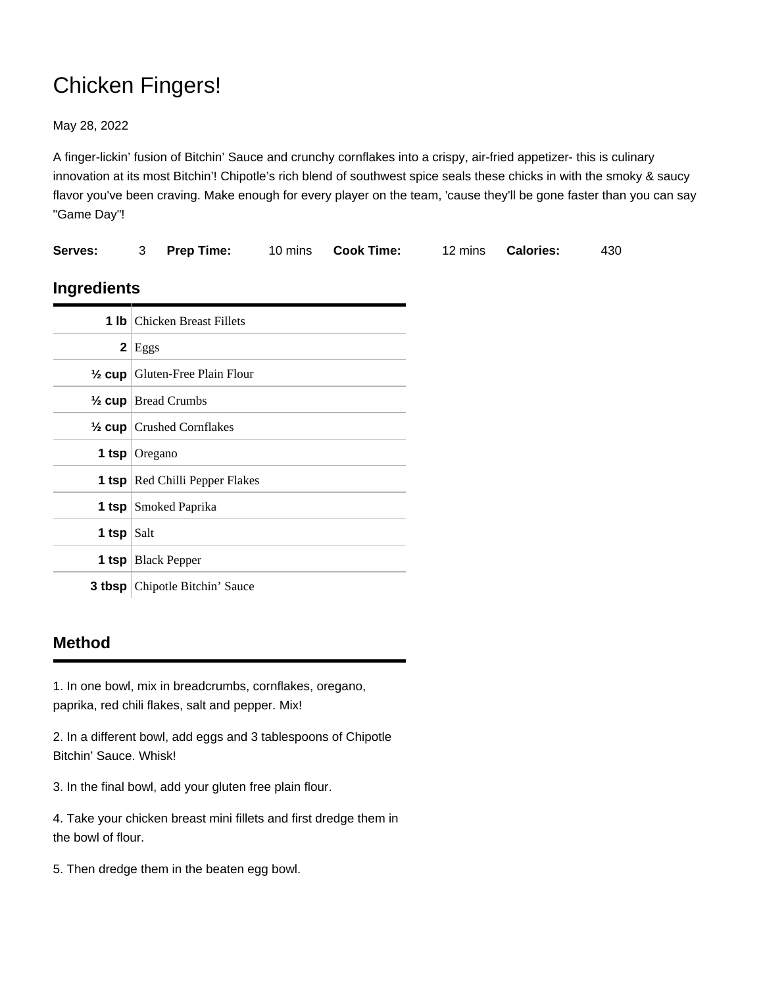## Chicken Fingers!

May 28, 2022

A finger-lickin' fusion of Bitchin' Sauce and crunchy cornflakes into a crispy, air-fried appetizer- this is culinary innovation at its most Bitchin'! Chipotle's rich blend of southwest spice seals these chicks in with the smoky & saucy flavor you've been craving. Make enough for every player on the team, 'cause they'll be gone faster than you can say "Game Day"!

| Serves:              | 3                                         | <b>Prep Time:</b> 10 mins             |  | <b>Cook Time:</b> | 12 mins | <b>Calories:</b> | 430 |
|----------------------|-------------------------------------------|---------------------------------------|--|-------------------|---------|------------------|-----|
| Ingredients          |                                           |                                       |  |                   |         |                  |     |
|                      |                                           | <b>1 lb</b> Chicken Breast Fillets    |  |                   |         |                  |     |
|                      | $2$   Eggs                                |                                       |  |                   |         |                  |     |
|                      | $\frac{1}{2}$ cup Gluten-Free Plain Flour |                                       |  |                   |         |                  |     |
|                      | $\frac{1}{2}$ cup   Bread Crumbs          |                                       |  |                   |         |                  |     |
|                      |                                           | $\frac{1}{2}$ cup Crushed Cornflakes  |  |                   |         |                  |     |
| <b>1 tsp</b> Oregano |                                           |                                       |  |                   |         |                  |     |
|                      | <b>1 tsp</b> Red Chilli Pepper Flakes     |                                       |  |                   |         |                  |     |
|                      | <b>1 tsp</b> Smoked Paprika               |                                       |  |                   |         |                  |     |
| 1 tsp $Salt$         |                                           |                                       |  |                   |         |                  |     |
|                      |                                           | <b>1 tsp</b>   Black Pepper           |  |                   |         |                  |     |
|                      |                                           | <b>3 tbsp</b> Chipotle Bitchin' Sauce |  |                   |         |                  |     |

## **Method**

1. In one bowl, mix in breadcrumbs, cornflakes, oregano, paprika, red chili flakes, salt and pepper. Mix!

2. In a different bowl, add eggs and 3 tablespoons of Chipotle Bitchin' Sauce. Whisk!

3. In the final bowl, add your gluten free plain flour.

4. Take your chicken breast mini fillets and first dredge them in the bowl of flour.

5. Then dredge them in the beaten egg bowl.